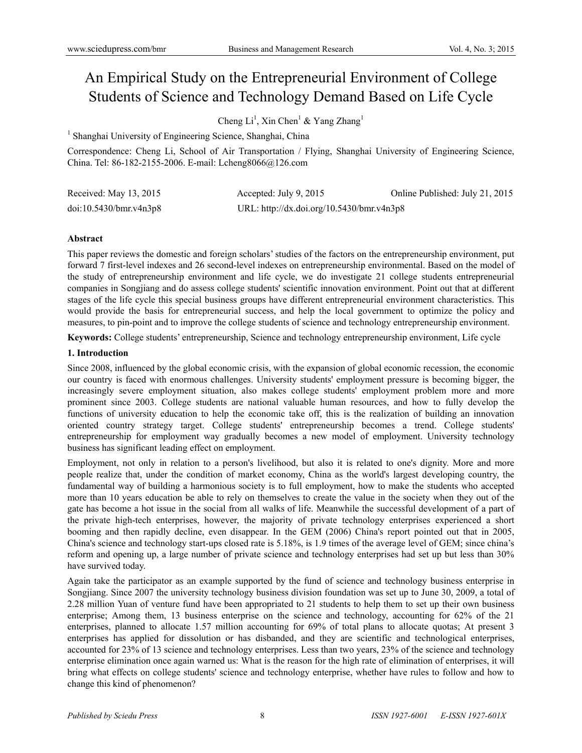# An Empirical Study on the Entrepreneurial Environment of College Students of Science and Technology Demand Based on Life Cycle

Cheng Li<sup>1</sup>, Xin Chen<sup>1</sup> & Yang Zhang<sup>1</sup>

<sup>1</sup> Shanghai University of Engineering Science, Shanghai, China

Correspondence: Cheng Li, School of Air Transportation / Flying, Shanghai University of Engineering Science, China. Tel: 86-182-2155-2006. E-mail: Lcheng8066@126.com

| Received: May 13, 2015 | Accepted: July 9, 2015                    | Online Published: July 21, 2015 |
|------------------------|-------------------------------------------|---------------------------------|
| doi:10.5430/bmr.v4n3p8 | URL: http://dx.doi.org/10.5430/bmr.v4n3p8 |                                 |

## **Abstract**

This paper reviews the domestic and foreign scholars' studies of the factors on the entrepreneurship environment, put forward 7 first-level indexes and 26 second-level indexes on entrepreneurship environmental. Based on the model of the study of entrepreneurship environment and life cycle, we do investigate 21 college students entrepreneurial companies in Songjiang and do assess college students' scientific innovation environment. Point out that at different stages of the life cycle this special business groups have different entrepreneurial environment characteristics. This would provide the basis for entrepreneurial success, and help the local government to optimize the policy and measures, to pin-point and to improve the college students of science and technology entrepreneurship environment.

**Keywords:** College students' entrepreneurship, Science and technology entrepreneurship environment, Life cycle

# **1. Introduction**

Since 2008, influenced by the global economic crisis, with the expansion of global economic recession, the economic our country is faced with enormous challenges. University students' employment pressure is becoming bigger, the increasingly severe employment situation, also makes college students' employment problem more and more prominent since 2003. College students are national valuable human resources, and how to fully develop the functions of university education to help the economic take off, this is the realization of building an innovation oriented country strategy target. College students' entrepreneurship becomes a trend. College students' entrepreneurship for employment way gradually becomes a new model of employment. University technology business has significant leading effect on employment.

Employment, not only in relation to a person's livelihood, but also it is related to one's dignity. More and more people realize that, under the condition of market economy, China as the world's largest developing country, the fundamental way of building a harmonious society is to full employment, how to make the students who accepted more than 10 years education be able to rely on themselves to create the value in the society when they out of the gate has become a hot issue in the social from all walks of life. Meanwhile the successful development of a part of the private high-tech enterprises, however, the majority of private technology enterprises experienced a short booming and then rapidly decline, even disappear. In the GEM (2006) China's report pointed out that in 2005, China's science and technology start-ups closed rate is 5.18%, is 1.9 times of the average level of GEM; since china's reform and opening up, a large number of private science and technology enterprises had set up but less than 30% have survived today.

Again take the participator as an example supported by the fund of science and technology business enterprise in Songjiang. Since 2007 the university technology business division foundation was set up to June 30, 2009, a total of 2.28 million Yuan of venture fund have been appropriated to 21 students to help them to set up their own business enterprise; Among them, 13 business enterprise on the science and technology, accounting for 62% of the 21 enterprises, planned to allocate 1.57 million accounting for 69% of total plans to allocate quotas; At present 3 enterprises has applied for dissolution or has disbanded, and they are scientific and technological enterprises, accounted for 23% of 13 science and technology enterprises. Less than two years, 23% of the science and technology enterprise elimination once again warned us: What is the reason for the high rate of elimination of enterprises, it will bring what effects on college students' science and technology enterprise, whether have rules to follow and how to change this kind of phenomenon?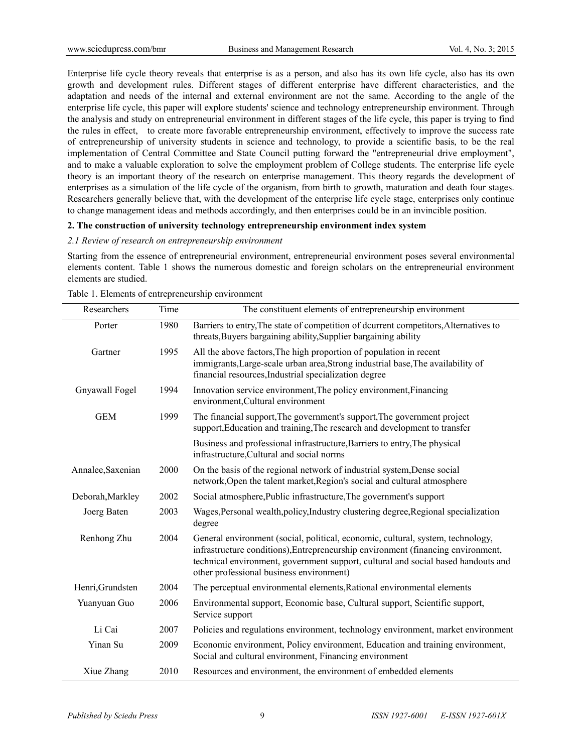Enterprise life cycle theory reveals that enterprise is as a person, and also has its own life cycle, also has its own growth and development rules. Different stages of different enterprise have different characteristics, and the adaptation and needs of the internal and external environment are not the same. According to the angle of the enterprise life cycle, this paper will explore students' science and technology entrepreneurship environment. Through the analysis and study on entrepreneurial environment in different stages of the life cycle, this paper is trying to find the rules in effect, to create more favorable entrepreneurship environment, effectively to improve the success rate of entrepreneurship of university students in science and technology, to provide a scientific basis, to be the real implementation of Central Committee and State Council putting forward the "entrepreneurial drive employment", and to make a valuable exploration to solve the employment problem of College students. The enterprise life cycle theory is an important theory of the research on enterprise management. This theory regards the development of enterprises as a simulation of the life cycle of the organism, from birth to growth, maturation and death four stages. Researchers generally believe that, with the development of the enterprise life cycle stage, enterprises only continue to change management ideas and methods accordingly, and then enterprises could be in an invincible position.

# **2. The construction of university technology entrepreneurship environment index system**

# *2.1 Review of research on entrepreneurship environment*

Starting from the essence of entrepreneurial environment, entrepreneurial environment poses several environmental elements content. Table 1 shows the numerous domestic and foreign scholars on the entrepreneurial environment elements are studied.

| Researchers       | Time | The constituent elements of entrepreneurship environment                                                                                                                                                                                                                                             |
|-------------------|------|------------------------------------------------------------------------------------------------------------------------------------------------------------------------------------------------------------------------------------------------------------------------------------------------------|
| Porter            | 1980 | Barriers to entry, The state of competition of dcurrent competitors, Alternatives to<br>threats, Buyers bargaining ability, Supplier bargaining ability                                                                                                                                              |
| Gartner           | 1995 | All the above factors, The high proportion of population in recent<br>immigrants, Large-scale urban area, Strong industrial base, The availability of<br>financial resources, Industrial specialization degree                                                                                       |
| Gnyawall Fogel    | 1994 | Innovation service environment, The policy environment, Financing<br>environment, Cultural environment                                                                                                                                                                                               |
| <b>GEM</b>        | 1999 | The financial support, The government's support, The government project<br>support, Education and training, The research and development to transfer                                                                                                                                                 |
|                   |      | Business and professional infrastructure, Barriers to entry, The physical<br>infrastructure, Cultural and social norms                                                                                                                                                                               |
| Annalee, Saxenian | 2000 | On the basis of the regional network of industrial system, Dense social<br>network, Open the talent market, Region's social and cultural atmosphere                                                                                                                                                  |
| Deborah, Markley  | 2002 | Social atmosphere, Public infrastructure, The government's support                                                                                                                                                                                                                                   |
| Joerg Baten       | 2003 | Wages, Personal wealth, policy, Industry clustering degree, Regional specialization<br>degree                                                                                                                                                                                                        |
| Renhong Zhu       | 2004 | General environment (social, political, economic, cultural, system, technology,<br>infrastructure conditions), Entrepreneurship environment (financing environment,<br>technical environment, government support, cultural and social based handouts and<br>other professional business environment) |
| Henri, Grundsten  | 2004 | The perceptual environmental elements, Rational environmental elements                                                                                                                                                                                                                               |
| Yuanyuan Guo      | 2006 | Environmental support, Economic base, Cultural support, Scientific support,<br>Service support                                                                                                                                                                                                       |
| Li Cai            | 2007 | Policies and regulations environment, technology environment, market environment                                                                                                                                                                                                                     |
| Yinan Su          | 2009 | Economic environment, Policy environment, Education and training environment,<br>Social and cultural environment, Financing environment                                                                                                                                                              |
| Xiue Zhang        | 2010 | Resources and environment, the environment of embedded elements                                                                                                                                                                                                                                      |

|  | Table 1. Elements of entrepreneurship environment |  |  |  |  |
|--|---------------------------------------------------|--|--|--|--|
|  |                                                   |  |  |  |  |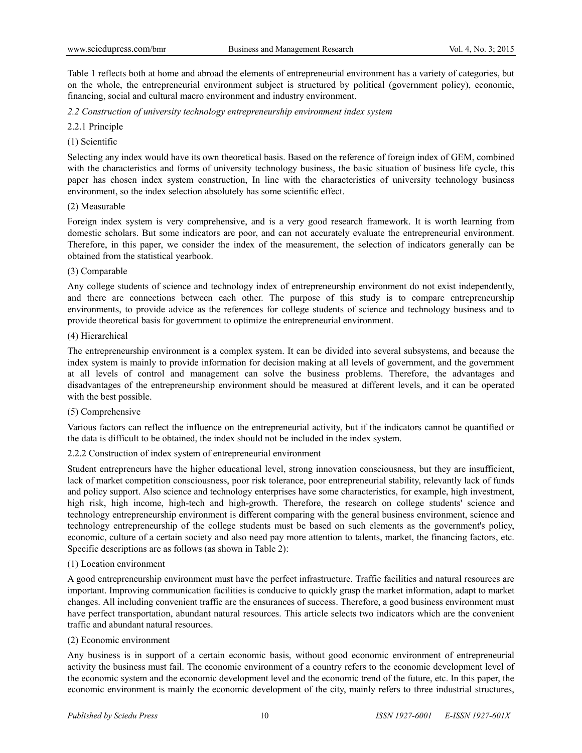Table 1 reflects both at home and abroad the elements of entrepreneurial environment has a variety of categories, but on the whole, the entrepreneurial environment subject is structured by political (government policy), economic, financing, social and cultural macro environment and industry environment.

*2.2 Construction of university technology entrepreneurship environment index system* 

## 2.2.1 Principle

# (1) Scientific

Selecting any index would have its own theoretical basis. Based on the reference of foreign index of GEM, combined with the characteristics and forms of university technology business, the basic situation of business life cycle, this paper has chosen index system construction, In line with the characteristics of university technology business environment, so the index selection absolutely has some scientific effect.

## (2) Measurable

Foreign index system is very comprehensive, and is a very good research framework. It is worth learning from domestic scholars. But some indicators are poor, and can not accurately evaluate the entrepreneurial environment. Therefore, in this paper, we consider the index of the measurement, the selection of indicators generally can be obtained from the statistical yearbook.

## (3) Comparable

Any college students of science and technology index of entrepreneurship environment do not exist independently, and there are connections between each other. The purpose of this study is to compare entrepreneurship environments, to provide advice as the references for college students of science and technology business and to provide theoretical basis for government to optimize the entrepreneurial environment.

## (4) Hierarchical

The entrepreneurship environment is a complex system. It can be divided into several subsystems, and because the index system is mainly to provide information for decision making at all levels of government, and the government at all levels of control and management can solve the business problems. Therefore, the advantages and disadvantages of the entrepreneurship environment should be measured at different levels, and it can be operated with the best possible.

# (5) Comprehensive

Various factors can reflect the influence on the entrepreneurial activity, but if the indicators cannot be quantified or the data is difficult to be obtained, the index should not be included in the index system.

# 2.2.2 Construction of index system of entrepreneurial environment

Student entrepreneurs have the higher educational level, strong innovation consciousness, but they are insufficient, lack of market competition consciousness, poor risk tolerance, poor entrepreneurial stability, relevantly lack of funds and policy support. Also science and technology enterprises have some characteristics, for example, high investment, high risk, high income, high-tech and high-growth. Therefore, the research on college students' science and technology entrepreneurship environment is different comparing with the general business environment, science and technology entrepreneurship of the college students must be based on such elements as the government's policy, economic, culture of a certain society and also need pay more attention to talents, market, the financing factors, etc. Specific descriptions are as follows (as shown in Table 2):

# (1) Location environment

A good entrepreneurship environment must have the perfect infrastructure. Traffic facilities and natural resources are important. Improving communication facilities is conducive to quickly grasp the market information, adapt to market changes. All including convenient traffic are the ensurances of success. Therefore, a good business environment must have perfect transportation, abundant natural resources. This article selects two indicators which are the convenient traffic and abundant natural resources.

#### (2) Economic environment

Any business is in support of a certain economic basis, without good economic environment of entrepreneurial activity the business must fail. The economic environment of a country refers to the economic development level of the economic system and the economic development level and the economic trend of the future, etc. In this paper, the economic environment is mainly the economic development of the city, mainly refers to three industrial structures,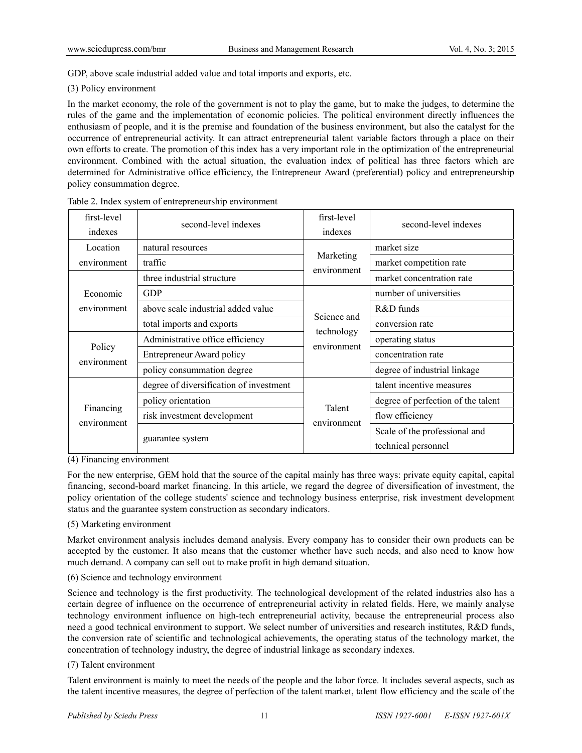GDP, above scale industrial added value and total imports and exports, etc.

# (3) Policy environment

In the market economy, the role of the government is not to play the game, but to make the judges, to determine the rules of the game and the implementation of economic policies. The political environment directly influences the enthusiasm of people, and it is the premise and foundation of the business environment, but also the catalyst for the occurrence of entrepreneurial activity. It can attract entrepreneurial talent variable factors through a place on their own efforts to create. The promotion of this index has a very important role in the optimization of the entrepreneurial environment. Combined with the actual situation, the evaluation index of political has three factors which are determined for Administrative office efficiency, the Entrepreneur Award (preferential) policy and entrepreneurship policy consummation degree.

| first-level<br>indexes   | second-level indexes                    | first-level<br>indexes    | second-level indexes                                 |  |
|--------------------------|-----------------------------------------|---------------------------|------------------------------------------------------|--|
| Location                 | natural resources                       |                           | market size                                          |  |
| environment              | traffic                                 | Marketing<br>environment  | market competition rate                              |  |
|                          | three industrial structure              |                           | market concentration rate                            |  |
| Economic                 | <b>GDP</b>                              |                           | number of universities                               |  |
| environment              | above scale industrial added value      | Science and               | R&D funds                                            |  |
| Policy                   | total imports and exports               |                           | conversion rate                                      |  |
|                          | Administrative office efficiency        | technology<br>environment | operating status                                     |  |
|                          | <b>Entrepreneur Award policy</b>        |                           | concentration rate                                   |  |
| environment              | policy consummation degree              |                           | degree of industrial linkage                         |  |
|                          | degree of diversification of investment |                           | talent incentive measures                            |  |
| Financing<br>environment | policy orientation                      | Talent                    | degree of perfection of the talent                   |  |
|                          | risk investment development             | environment               | flow efficiency                                      |  |
|                          | guarantee system                        |                           | Scale of the professional and<br>technical personnel |  |

Table 2. Index system of entrepreneurship environment

(4) Financing environment

For the new enterprise, GEM hold that the source of the capital mainly has three ways: private equity capital, capital financing, second-board market financing. In this article, we regard the degree of diversification of investment, the policy orientation of the college students' science and technology business enterprise, risk investment development status and the guarantee system construction as secondary indicators.

# (5) Marketing environment

Market environment analysis includes demand analysis. Every company has to consider their own products can be accepted by the customer. It also means that the customer whether have such needs, and also need to know how much demand. A company can sell out to make profit in high demand situation.

# (6) Science and technology environment

Science and technology is the first productivity. The technological development of the related industries also has a certain degree of influence on the occurrence of entrepreneurial activity in related fields. Here, we mainly analyse technology environment influence on high-tech entrepreneurial activity, because the entrepreneurial process also need a good technical environment to support. We select number of universities and research institutes, R&D funds, the conversion rate of scientific and technological achievements, the operating status of the technology market, the concentration of technology industry, the degree of industrial linkage as secondary indexes.

# (7) Talent environment

Talent environment is mainly to meet the needs of the people and the labor force. It includes several aspects, such as the talent incentive measures, the degree of perfection of the talent market, talent flow efficiency and the scale of the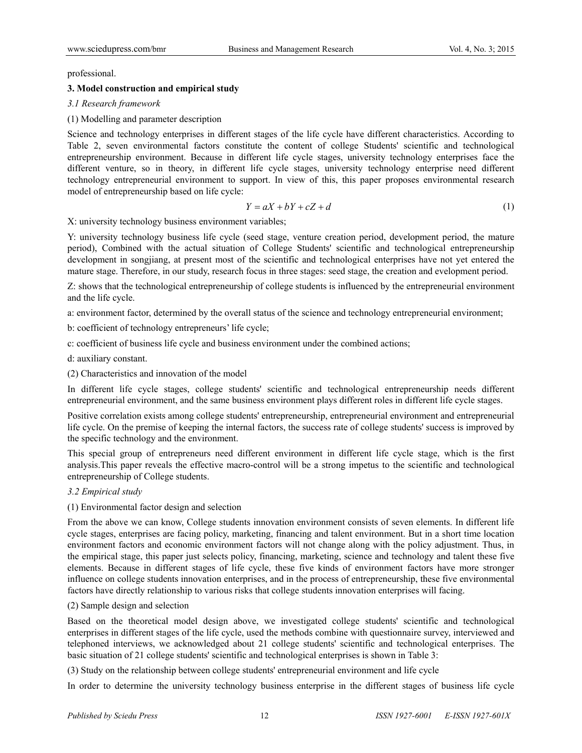professional.

# **3. Model construction and empirical study**

## *3.1 Research framework*

## (1) Modelling and parameter description

Science and technology enterprises in different stages of the life cycle have different characteristics. According to Table 2, seven environmental factors constitute the content of college Students' scientific and technological entrepreneurship environment. Because in different life cycle stages, university technology enterprises face the different venture, so in theory, in different life cycle stages, university technology enterprise need different technology entrepreneurial environment to support. In view of this, this paper proposes environmental research model of entrepreneurship based on life cycle:

$$
Y = aX + bY + cZ + d \tag{1}
$$

X: university technology business environment variables;

Y: university technology business life cycle (seed stage, venture creation period, development period, the mature period), Combined with the actual situation of College Students' scientific and technological entrepreneurship development in songjiang, at present most of the scientific and technological enterprises have not yet entered the mature stage. Therefore, in our study, research focus in three stages: seed stage, the creation and evelopment period.

Z: shows that the technological entrepreneurship of college students is influenced by the entrepreneurial environment and the life cycle.

a: environment factor, determined by the overall status of the science and technology entrepreneurial environment;

b: coefficient of technology entrepreneurs' life cycle;

c: coefficient of business life cycle and business environment under the combined actions;

d: auxiliary constant.

(2) Characteristics and innovation of the model

In different life cycle stages, college students' scientific and technological entrepreneurship needs different entrepreneurial environment, and the same business environment plays different roles in different life cycle stages.

Positive correlation exists among college students' entrepreneurship, entrepreneurial environment and entrepreneurial life cycle. On the premise of keeping the internal factors, the success rate of college students' success is improved by the specific technology and the environment.

This special group of entrepreneurs need different environment in different life cycle stage, which is the first analysis.This paper reveals the effective macro-control will be a strong impetus to the scientific and technological entrepreneurship of College students.

# *3.2 Empirical study*

# (1) Environmental factor design and selection

From the above we can know, College students innovation environment consists of seven elements. In different life cycle stages, enterprises are facing policy, marketing, financing and talent environment. But in a short time location environment factors and economic environment factors will not change along with the policy adjustment. Thus, in the empirical stage, this paper just selects policy, financing, marketing, science and technology and talent these five elements. Because in different stages of life cycle, these five kinds of environment factors have more stronger influence on college students innovation enterprises, and in the process of entrepreneurship, these five environmental factors have directly relationship to various risks that college students innovation enterprises will facing.

## (2) Sample design and selection

Based on the theoretical model design above, we investigated college students' scientific and technological enterprises in different stages of the life cycle, used the methods combine with questionnaire survey, interviewed and telephoned interviews, we acknowledged about 21 college students' scientific and technological enterprises. The basic situation of 21 college students' scientific and technological enterprises is shown in Table 3:

(3) Study on the relationship between college students' entrepreneurial environment and life cycle

In order to determine the university technology business enterprise in the different stages of business life cycle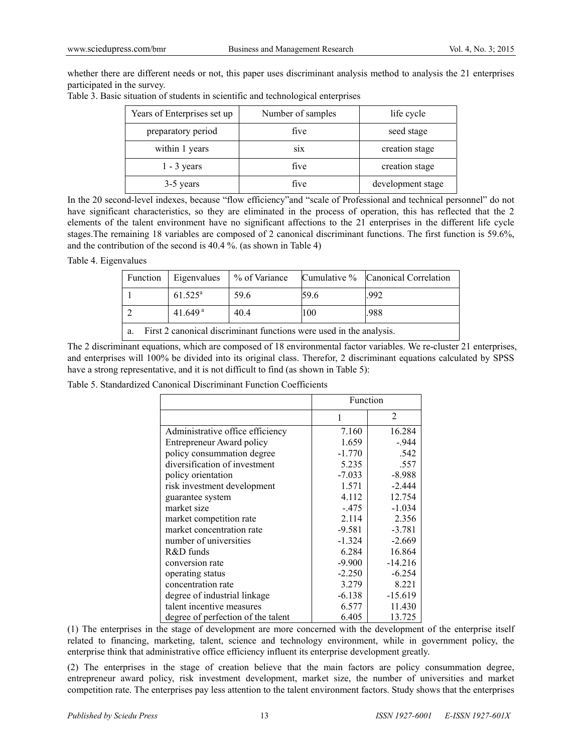whether there are different needs or not, this paper uses discriminant analysis method to analysis the 21 enterprises participated in the survey.

| Years of Enterprises set up | Number of samples | life cycle        |
|-----------------------------|-------------------|-------------------|
| preparatory period          | five              | seed stage        |
| within 1 years              | S1X               | creation stage    |
| $1 - 3$ years               | five              | creation stage    |
| 3-5 years                   | five              | development stage |

Table 3. Basic situation of students in scientific and technological enterprises

In the 20 second-level indexes, because "flow efficiency"and "scale of Professional and technical personnel" do not have significant characteristics, so they are eliminated in the process of operation, this has reflected that the 2 elements of the talent environment have no significant affections to the 21 enterprises in the different life cycle stages.The remaining 18 variables are composed of 2 canonical discriminant functions. The first function is 59.6%, and the contribution of the second is 40.4 %. (as shown in Table 4)

Table 4. Eigenvalues

| Function                                                                  | Eigenvalues           | % of Variance |      | Cumulative % Canonical Correlation |  |  |
|---------------------------------------------------------------------------|-----------------------|---------------|------|------------------------------------|--|--|
|                                                                           | $61.525^a$            | 59.6          | 59.6 | .992                               |  |  |
|                                                                           | $41.649$ <sup>a</sup> | 40.4          | 100  | .988                               |  |  |
| First 2 canonical discriminant functions were used in the analysis.<br>a. |                       |               |      |                                    |  |  |

The 2 discriminant equations, which are composed of 18 environmental factor variables. We re-cluster 21 enterprises, and enterprises will 100% be divided into its original class. Therefor, 2 discriminant equations calculated by SPSS have a strong representative, and it is not difficult to find (as shown in Table 5):

Table 5. Standardized Canonical Discriminant Function Coefficients

|                                    | Function |                |
|------------------------------------|----------|----------------|
|                                    | 1        | $\overline{2}$ |
| Administrative office efficiency   | 7.160    | 16.284         |
| <b>Entrepreneur Award policy</b>   | 1.659    | $-944$         |
| policy consummation degree         | $-1.770$ | .542           |
| diversification of investment      | 5.235    | .557           |
| policy orientation                 | $-7.033$ | $-8.988$       |
| risk investment development        | 1.571    | $-2.444$       |
| guarantee system                   | 4.112    | 12.754         |
| market size                        | $-.475$  | $-1.034$       |
| market competition rate            | 2.114    | 2.356          |
| market concentration rate          | $-9.581$ | $-3.781$       |
| number of universities             | $-1.324$ | $-2.669$       |
| R&D funds                          | 6.284    | 16.864         |
| conversion rate                    | $-9.900$ | $-14.216$      |
| operating status                   | $-2.250$ | $-6.254$       |
| concentration rate                 | 3.279    | 8.221          |
| degree of industrial linkage       | $-6.138$ | $-15.619$      |
| talent incentive measures          | 6.577    | 11.430         |
| degree of perfection of the talent | 6.405    | 13.725         |

(1) The enterprises in the stage of development are more concerned with the development of the enterprise itself related to financing, marketing, talent, science and technology environment, while in government policy, the enterprise think that administrative office efficiency influent its enterprise development greatly.

(2) The enterprises in the stage of creation believe that the main factors are policy consummation degree, entrepreneur award policy, risk investment development, market size, the number of universities and market competition rate. The enterprises pay less attention to the talent environment factors. Study shows that the enterprises